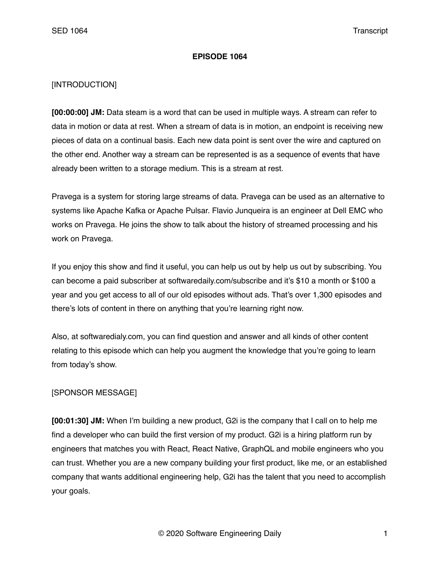#### **EPISODE 1064**

## [INTRODUCTION]

**[00:00:00] JM:** Data steam is a word that can be used in multiple ways. A stream can refer to data in motion or data at rest. When a stream of data is in motion, an endpoint is receiving new pieces of data on a continual basis. Each new data point is sent over the wire and captured on the other end. Another way a stream can be represented is as a sequence of events that have already been written to a storage medium. This is a stream at rest.

Pravega is a system for storing large streams of data. Pravega can be used as an alternative to systems like Apache Kafka or Apache Pulsar. Flavio Junqueira is an engineer at Dell EMC who works on Pravega. He joins the show to talk about the history of streamed processing and his work on Pravega.

If you enjoy this show and find it useful, you can help us out by help us out by subscribing. You can become a paid subscriber at softwaredaily.com/subscribe and it's \$10 a month or \$100 a year and you get access to all of our old episodes without ads. That's over 1,300 episodes and there's lots of content in there on anything that you're learning right now.

Also, at softwaredialy.com, you can find question and answer and all kinds of other content relating to this episode which can help you augment the knowledge that you're going to learn from today's show.

#### [SPONSOR MESSAGE]

**[00:01:30] JM:** When I'm building a new product, G2i is the company that I call on to help me find a developer who can build the first version of my product. G2i is a hiring platform run by engineers that matches you with React, React Native, GraphQL and mobile engineers who you can trust. Whether you are a new company building your first product, like me, or an established company that wants additional engineering help, G2i has the talent that you need to accomplish your goals.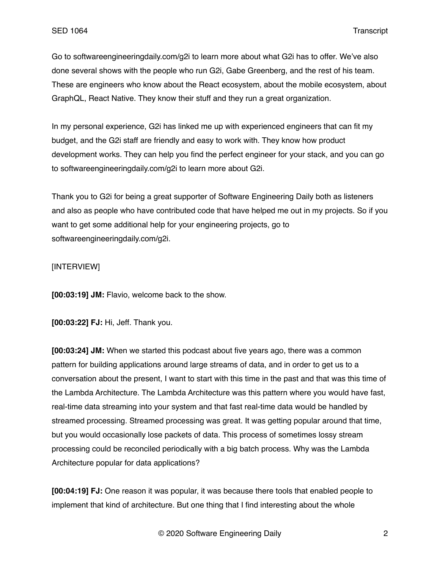Go to softwareengineeringdaily.com/g2i to learn more about what G2i has to offer. We've also done several shows with the people who run G2i, Gabe Greenberg, and the rest of his team. These are engineers who know about the React ecosystem, about the mobile ecosystem, about GraphQL, React Native. They know their stuff and they run a great organization.

In my personal experience, G2i has linked me up with experienced engineers that can fit my budget, and the G2i staff are friendly and easy to work with. They know how product development works. They can help you find the perfect engineer for your stack, and you can go to softwareengineeringdaily.com/g2i to learn more about G2i.

Thank you to G2i for being a great supporter of Software Engineering Daily both as listeners and also as people who have contributed code that have helped me out in my projects. So if you want to get some additional help for your engineering projects, go to softwareengineeringdaily.com/g2i.

# [INTERVIEW]

**[00:03:19] JM:** Flavio, welcome back to the show.

**[00:03:22] FJ:** Hi, Jeff. Thank you.

**[00:03:24] JM:** When we started this podcast about five years ago, there was a common pattern for building applications around large streams of data, and in order to get us to a conversation about the present, I want to start with this time in the past and that was this time of the Lambda Architecture. The Lambda Architecture was this pattern where you would have fast, real-time data streaming into your system and that fast real-time data would be handled by streamed processing. Streamed processing was great. It was getting popular around that time, but you would occasionally lose packets of data. This process of sometimes lossy stream processing could be reconciled periodically with a big batch process. Why was the Lambda Architecture popular for data applications?

**[00:04:19] FJ:** One reason it was popular, it was because there tools that enabled people to implement that kind of architecture. But one thing that I find interesting about the whole

© 2020 Software Engineering Daily 2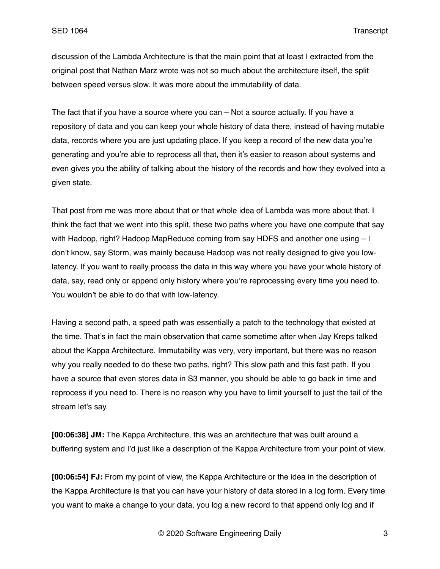discussion of the Lambda Architecture is that the main point that at least I extracted from the original post that Nathan Marz wrote was not so much about the architecture itself, the split between speed versus slow. It was more about the immutability of data.

The fact that if you have a source where you can – Not a source actually. If you have a repository of data and you can keep your whole history of data there, instead of having mutable data, records where you are just updating place. If you keep a record of the new data you're generating and you're able to reprocess all that, then it's easier to reason about systems and even gives you the ability of talking about the history of the records and how they evolved into a given state.

That post from me was more about that or that whole idea of Lambda was more about that. I think the fact that we went into this split, these two paths where you have one compute that say with Hadoop, right? Hadoop MapReduce coming from say HDFS and another one using – I don't know, say Storm, was mainly because Hadoop was not really designed to give you lowlatency. If you want to really process the data in this way where you have your whole history of data, say, read only or append only history where you're reprocessing every time you need to. You wouldn't be able to do that with low-latency.

Having a second path, a speed path was essentially a patch to the technology that existed at the time. That's in fact the main observation that came sometime after when Jay Kreps talked about the Kappa Architecture. Immutability was very, very important, but there was no reason why you really needed to do these two paths, right? This slow path and this fast path. If you have a source that even stores data in S3 manner, you should be able to go back in time and reprocess if you need to. There is no reason why you have to limit yourself to just the tail of the stream let's say.

**[00:06:38] JM:** The Kappa Architecture, this was an architecture that was built around a buffering system and I'd just like a description of the Kappa Architecture from your point of view.

**[00:06:54] FJ:** From my point of view, the Kappa Architecture or the idea in the description of the Kappa Architecture is that you can have your history of data stored in a log form. Every time you want to make a change to your data, you log a new record to that append only log and if

© 2020 Software Engineering Daily 3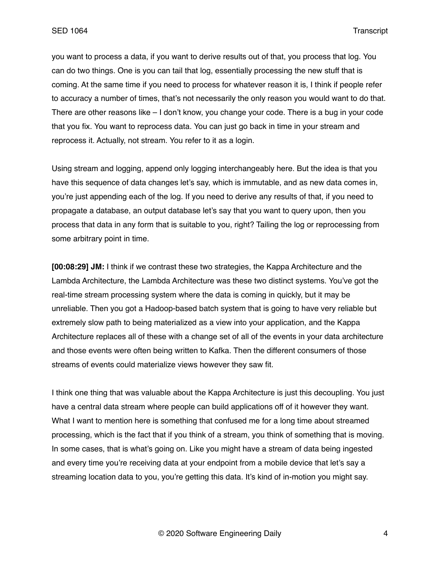you want to process a data, if you want to derive results out of that, you process that log. You can do two things. One is you can tail that log, essentially processing the new stuff that is coming. At the same time if you need to process for whatever reason it is, I think if people refer to accuracy a number of times, that's not necessarily the only reason you would want to do that. There are other reasons like – I don't know, you change your code. There is a bug in your code that you fix. You want to reprocess data. You can just go back in time in your stream and reprocess it. Actually, not stream. You refer to it as a login.

Using stream and logging, append only logging interchangeably here. But the idea is that you have this sequence of data changes let's say, which is immutable, and as new data comes in, you're just appending each of the log. If you need to derive any results of that, if you need to propagate a database, an output database let's say that you want to query upon, then you process that data in any form that is suitable to you, right? Tailing the log or reprocessing from some arbitrary point in time.

**[00:08:29] JM:** I think if we contrast these two strategies, the Kappa Architecture and the Lambda Architecture, the Lambda Architecture was these two distinct systems. You've got the real-time stream processing system where the data is coming in quickly, but it may be unreliable. Then you got a Hadoop-based batch system that is going to have very reliable but extremely slow path to being materialized as a view into your application, and the Kappa Architecture replaces all of these with a change set of all of the events in your data architecture and those events were often being written to Kafka. Then the different consumers of those streams of events could materialize views however they saw fit.

I think one thing that was valuable about the Kappa Architecture is just this decoupling. You just have a central data stream where people can build applications off of it however they want. What I want to mention here is something that confused me for a long time about streamed processing, which is the fact that if you think of a stream, you think of something that is moving. In some cases, that is what's going on. Like you might have a stream of data being ingested and every time you're receiving data at your endpoint from a mobile device that let's say a streaming location data to you, you're getting this data. It's kind of in-motion you might say.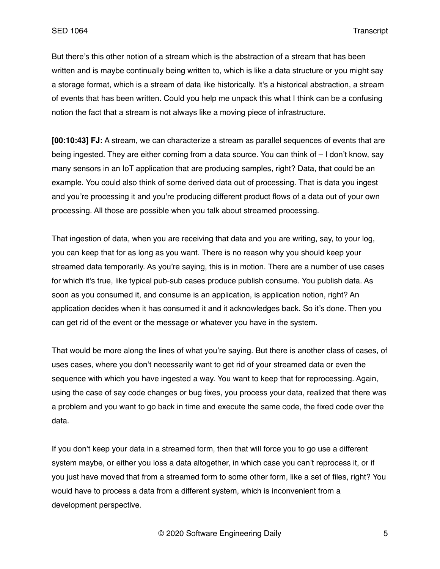But there's this other notion of a stream which is the abstraction of a stream that has been written and is maybe continually being written to, which is like a data structure or you might say a storage format, which is a stream of data like historically. It's a historical abstraction, a stream of events that has been written. Could you help me unpack this what I think can be a confusing notion the fact that a stream is not always like a moving piece of infrastructure.

**[00:10:43] FJ:** A stream, we can characterize a stream as parallel sequences of events that are being ingested. They are either coming from a data source. You can think of – I don't know, say many sensors in an IoT application that are producing samples, right? Data, that could be an example. You could also think of some derived data out of processing. That is data you ingest and you're processing it and you're producing different product flows of a data out of your own processing. All those are possible when you talk about streamed processing.

That ingestion of data, when you are receiving that data and you are writing, say, to your log, you can keep that for as long as you want. There is no reason why you should keep your streamed data temporarily. As you're saying, this is in motion. There are a number of use cases for which it's true, like typical pub-sub cases produce publish consume. You publish data. As soon as you consumed it, and consume is an application, is application notion, right? An application decides when it has consumed it and it acknowledges back. So it's done. Then you can get rid of the event or the message or whatever you have in the system.

That would be more along the lines of what you're saying. But there is another class of cases, of uses cases, where you don't necessarily want to get rid of your streamed data or even the sequence with which you have ingested a way. You want to keep that for reprocessing. Again, using the case of say code changes or bug fixes, you process your data, realized that there was a problem and you want to go back in time and execute the same code, the fixed code over the data.

If you don't keep your data in a streamed form, then that will force you to go use a different system maybe, or either you loss a data altogether, in which case you can't reprocess it, or if you just have moved that from a streamed form to some other form, like a set of files, right? You would have to process a data from a different system, which is inconvenient from a development perspective.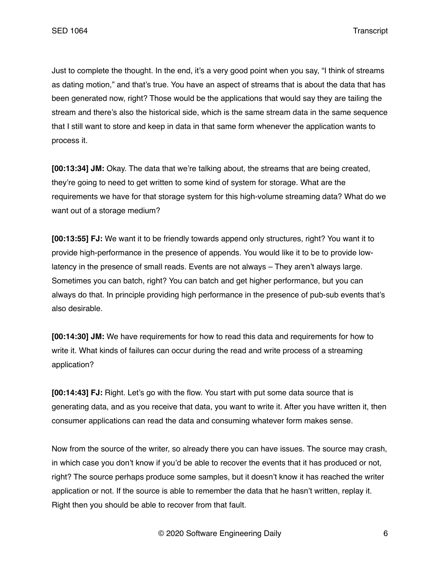Just to complete the thought. In the end, it's a very good point when you say, "I think of streams as dating motion," and that's true. You have an aspect of streams that is about the data that has been generated now, right? Those would be the applications that would say they are tailing the stream and there's also the historical side, which is the same stream data in the same sequence that I still want to store and keep in data in that same form whenever the application wants to process it.

**[00:13:34] JM:** Okay. The data that we're talking about, the streams that are being created, they're going to need to get written to some kind of system for storage. What are the requirements we have for that storage system for this high-volume streaming data? What do we want out of a storage medium?

**[00:13:55] FJ:** We want it to be friendly towards append only structures, right? You want it to provide high-performance in the presence of appends. You would like it to be to provide lowlatency in the presence of small reads. Events are not always – They aren't always large. Sometimes you can batch, right? You can batch and get higher performance, but you can always do that. In principle providing high performance in the presence of pub-sub events that's also desirable.

**[00:14:30] JM:** We have requirements for how to read this data and requirements for how to write it. What kinds of failures can occur during the read and write process of a streaming application?

**[00:14:43] FJ:** Right. Let's go with the flow. You start with put some data source that is generating data, and as you receive that data, you want to write it. After you have written it, then consumer applications can read the data and consuming whatever form makes sense.

Now from the source of the writer, so already there you can have issues. The source may crash, in which case you don't know if you'd be able to recover the events that it has produced or not, right? The source perhaps produce some samples, but it doesn't know it has reached the writer application or not. If the source is able to remember the data that he hasn't written, replay it. Right then you should be able to recover from that fault.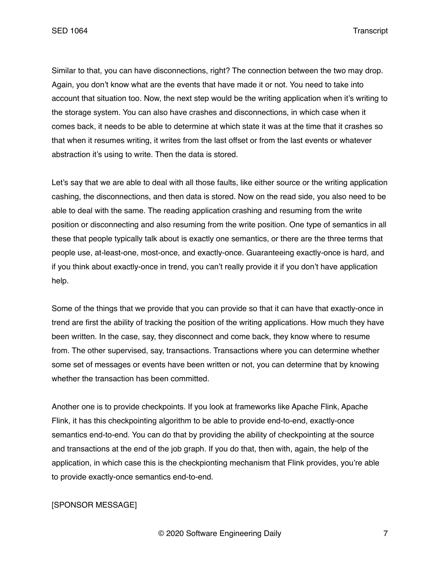SED 1064 Transcript

Similar to that, you can have disconnections, right? The connection between the two may drop. Again, you don't know what are the events that have made it or not. You need to take into account that situation too. Now, the next step would be the writing application when it's writing to the storage system. You can also have crashes and disconnections, in which case when it comes back, it needs to be able to determine at which state it was at the time that it crashes so that when it resumes writing, it writes from the last offset or from the last events or whatever abstraction it's using to write. Then the data is stored.

Let's say that we are able to deal with all those faults, like either source or the writing application cashing, the disconnections, and then data is stored. Now on the read side, you also need to be able to deal with the same. The reading application crashing and resuming from the write position or disconnecting and also resuming from the write position. One type of semantics in all these that people typically talk about is exactly one semantics, or there are the three terms that people use, at-least-one, most-once, and exactly-once. Guaranteeing exactly-once is hard, and if you think about exactly-once in trend, you can't really provide it if you don't have application help.

Some of the things that we provide that you can provide so that it can have that exactly-once in trend are first the ability of tracking the position of the writing applications. How much they have been written. In the case, say, they disconnect and come back, they know where to resume from. The other supervised, say, transactions. Transactions where you can determine whether some set of messages or events have been written or not, you can determine that by knowing whether the transaction has been committed.

Another one is to provide checkpoints. If you look at frameworks like Apache Flink, Apache Flink, it has this checkpointing algorithm to be able to provide end-to-end, exactly-once semantics end-to-end. You can do that by providing the ability of checkpointing at the source and transactions at the end of the job graph. If you do that, then with, again, the help of the application, in which case this is the checkpionting mechanism that Flink provides, you're able to provide exactly-once semantics end-to-end.

# [SPONSOR MESSAGE]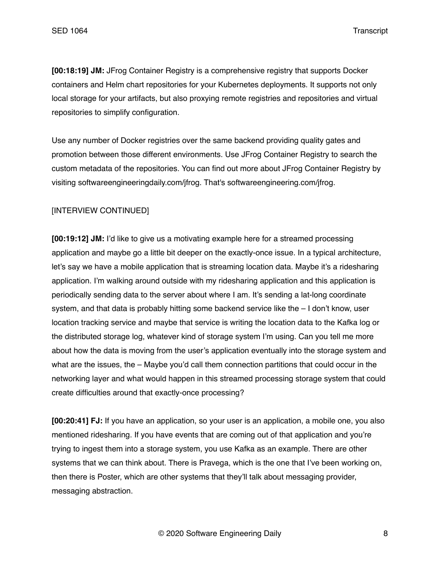**[00:18:19] JM:** JFrog Container Registry is a comprehensive registry that supports Docker containers and Helm chart repositories for your Kubernetes deployments. It supports not only local storage for your artifacts, but also proxying remote registries and repositories and virtual repositories to simplify configuration.

Use any number of Docker registries over the same backend providing quality gates and promotion between those different environments. Use JFrog Container Registry to search the custom metadata of the repositories. You can find out more about JFrog Container Registry by visiting softwareengineeringdaily.com/jfrog. That's softwareengineering.com/jfrog.

# [INTERVIEW CONTINUED]

**[00:19:12] JM:** I'd like to give us a motivating example here for a streamed processing application and maybe go a little bit deeper on the exactly-once issue. In a typical architecture, let's say we have a mobile application that is streaming location data. Maybe it's a ridesharing application. I'm walking around outside with my ridesharing application and this application is periodically sending data to the server about where I am. It's sending a lat-long coordinate system, and that data is probably hitting some backend service like the – I don't know, user location tracking service and maybe that service is writing the location data to the Kafka log or the distributed storage log, whatever kind of storage system I'm using. Can you tell me more about how the data is moving from the user's application eventually into the storage system and what are the issues, the – Maybe you'd call them connection partitions that could occur in the networking layer and what would happen in this streamed processing storage system that could create difficulties around that exactly-once processing?

**[00:20:41] FJ:** If you have an application, so your user is an application, a mobile one, you also mentioned ridesharing. If you have events that are coming out of that application and you're trying to ingest them into a storage system, you use Kafka as an example. There are other systems that we can think about. There is Pravega, which is the one that I've been working on, then there is Poster, which are other systems that they'll talk about messaging provider, messaging abstraction.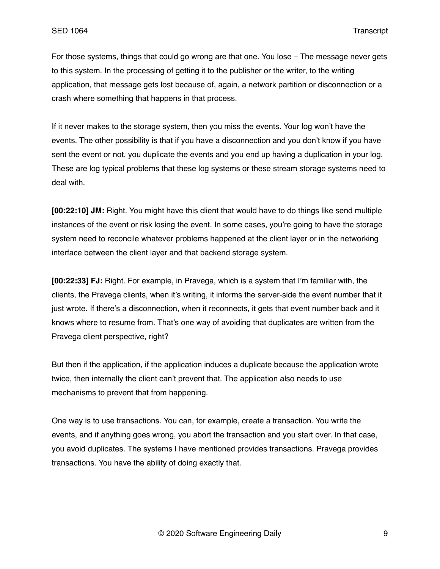For those systems, things that could go wrong are that one. You lose – The message never gets to this system. In the processing of getting it to the publisher or the writer, to the writing application, that message gets lost because of, again, a network partition or disconnection or a crash where something that happens in that process.

If it never makes to the storage system, then you miss the events. Your log won't have the events. The other possibility is that if you have a disconnection and you don't know if you have sent the event or not, you duplicate the events and you end up having a duplication in your log. These are log typical problems that these log systems or these stream storage systems need to deal with.

**[00:22:10] JM:** Right. You might have this client that would have to do things like send multiple instances of the event or risk losing the event. In some cases, you're going to have the storage system need to reconcile whatever problems happened at the client layer or in the networking interface between the client layer and that backend storage system.

**[00:22:33] FJ:** Right. For example, in Pravega, which is a system that I'm familiar with, the clients, the Pravega clients, when it's writing, it informs the server-side the event number that it just wrote. If there's a disconnection, when it reconnects, it gets that event number back and it knows where to resume from. That's one way of avoiding that duplicates are written from the Pravega client perspective, right?

But then if the application, if the application induces a duplicate because the application wrote twice, then internally the client can't prevent that. The application also needs to use mechanisms to prevent that from happening.

One way is to use transactions. You can, for example, create a transaction. You write the events, and if anything goes wrong, you abort the transaction and you start over. In that case, you avoid duplicates. The systems I have mentioned provides transactions. Pravega provides transactions. You have the ability of doing exactly that.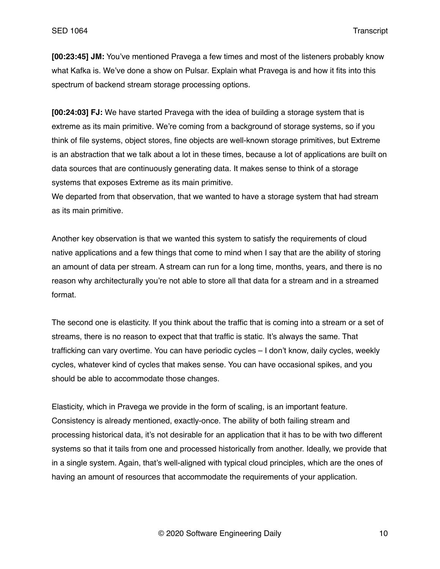**[00:23:45] JM:** You've mentioned Pravega a few times and most of the listeners probably know what Kafka is. We've done a show on Pulsar. Explain what Pravega is and how it fits into this spectrum of backend stream storage processing options.

**[00:24:03] FJ:** We have started Pravega with the idea of building a storage system that is extreme as its main primitive. We're coming from a background of storage systems, so if you think of file systems, object stores, fine objects are well-known storage primitives, but Extreme is an abstraction that we talk about a lot in these times, because a lot of applications are built on data sources that are continuously generating data. It makes sense to think of a storage systems that exposes Extreme as its main primitive.

We departed from that observation, that we wanted to have a storage system that had stream as its main primitive.

Another key observation is that we wanted this system to satisfy the requirements of cloud native applications and a few things that come to mind when I say that are the ability of storing an amount of data per stream. A stream can run for a long time, months, years, and there is no reason why architecturally you're not able to store all that data for a stream and in a streamed format.

The second one is elasticity. If you think about the traffic that is coming into a stream or a set of streams, there is no reason to expect that that traffic is static. It's always the same. That trafficking can vary overtime. You can have periodic cycles – I don't know, daily cycles, weekly cycles, whatever kind of cycles that makes sense. You can have occasional spikes, and you should be able to accommodate those changes.

Elasticity, which in Pravega we provide in the form of scaling, is an important feature. Consistency is already mentioned, exactly-once. The ability of both failing stream and processing historical data, it's not desirable for an application that it has to be with two different systems so that it tails from one and processed historically from another. Ideally, we provide that in a single system. Again, that's well-aligned with typical cloud principles, which are the ones of having an amount of resources that accommodate the requirements of your application.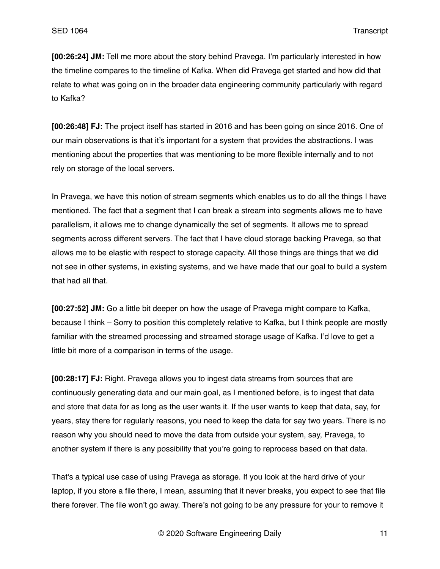**[00:26:24] JM:** Tell me more about the story behind Pravega. I'm particularly interested in how the timeline compares to the timeline of Kafka. When did Pravega get started and how did that relate to what was going on in the broader data engineering community particularly with regard to Kafka?

**[00:26:48] FJ:** The project itself has started in 2016 and has been going on since 2016. One of our main observations is that it's important for a system that provides the abstractions. I was mentioning about the properties that was mentioning to be more flexible internally and to not rely on storage of the local servers.

In Pravega, we have this notion of stream segments which enables us to do all the things I have mentioned. The fact that a segment that I can break a stream into segments allows me to have parallelism, it allows me to change dynamically the set of segments. It allows me to spread segments across different servers. The fact that I have cloud storage backing Pravega, so that allows me to be elastic with respect to storage capacity. All those things are things that we did not see in other systems, in existing systems, and we have made that our goal to build a system that had all that.

**[00:27:52] JM:** Go a little bit deeper on how the usage of Pravega might compare to Kafka, because I think – Sorry to position this completely relative to Kafka, but I think people are mostly familiar with the streamed processing and streamed storage usage of Kafka. I'd love to get a little bit more of a comparison in terms of the usage.

**[00:28:17] FJ:** Right. Pravega allows you to ingest data streams from sources that are continuously generating data and our main goal, as I mentioned before, is to ingest that data and store that data for as long as the user wants it. If the user wants to keep that data, say, for years, stay there for regularly reasons, you need to keep the data for say two years. There is no reason why you should need to move the data from outside your system, say, Pravega, to another system if there is any possibility that you're going to reprocess based on that data.

That's a typical use case of using Pravega as storage. If you look at the hard drive of your laptop, if you store a file there, I mean, assuming that it never breaks, you expect to see that file there forever. The file won't go away. There's not going to be any pressure for your to remove it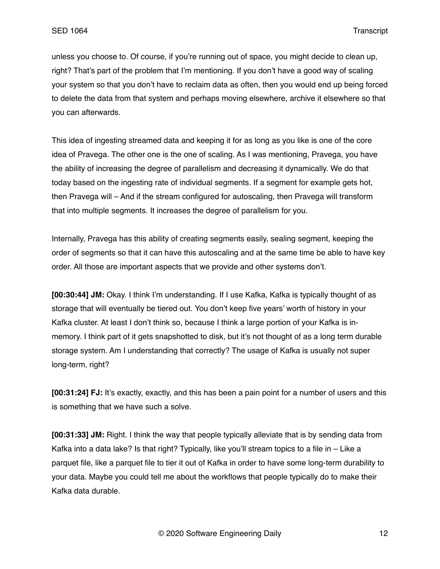unless you choose to. Of course, if you're running out of space, you might decide to clean up, right? That's part of the problem that I'm mentioning. If you don't have a good way of scaling your system so that you don't have to reclaim data as often, then you would end up being forced to delete the data from that system and perhaps moving elsewhere, archive it elsewhere so that you can afterwards.

This idea of ingesting streamed data and keeping it for as long as you like is one of the core idea of Pravega. The other one is the one of scaling. As I was mentioning, Pravega, you have the ability of increasing the degree of parallelism and decreasing it dynamically. We do that today based on the ingesting rate of individual segments. If a segment for example gets hot, then Pravega will – And if the stream configured for autoscaling, then Pravega will transform that into multiple segments. It increases the degree of parallelism for you.

Internally, Pravega has this ability of creating segments easily, sealing segment, keeping the order of segments so that it can have this autoscaling and at the same time be able to have key order. All those are important aspects that we provide and other systems don't.

**[00:30:44] JM:** Okay. I think I'm understanding. If I use Kafka, Kafka is typically thought of as storage that will eventually be tiered out. You don't keep five years' worth of history in your Kafka cluster. At least I don't think so, because I think a large portion of your Kafka is inmemory. I think part of it gets snapshotted to disk, but it's not thought of as a long term durable storage system. Am I understanding that correctly? The usage of Kafka is usually not super long-term, right?

**[00:31:24] FJ:** It's exactly, exactly, and this has been a pain point for a number of users and this is something that we have such a solve.

**[00:31:33] JM:** Right. I think the way that people typically alleviate that is by sending data from Kafka into a data lake? Is that right? Typically, like you'll stream topics to a file in – Like a parquet file, like a parquet file to tier it out of Kafka in order to have some long-term durability to your data. Maybe you could tell me about the workflows that people typically do to make their Kafka data durable.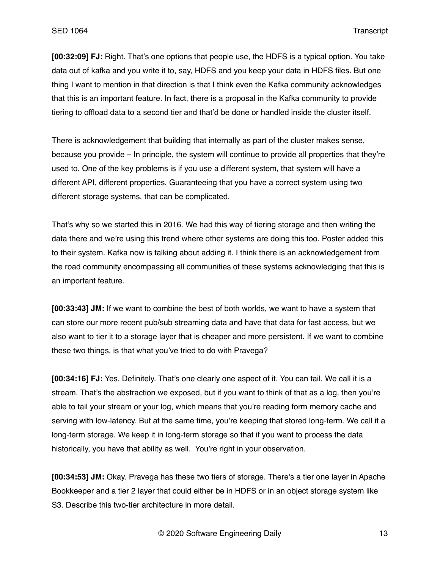**[00:32:09] FJ:** Right. That's one options that people use, the HDFS is a typical option. You take data out of kafka and you write it to, say, HDFS and you keep your data in HDFS files. But one thing I want to mention in that direction is that I think even the Kafka community acknowledges that this is an important feature. In fact, there is a proposal in the Kafka community to provide tiering to offload data to a second tier and that'd be done or handled inside the cluster itself.

There is acknowledgement that building that internally as part of the cluster makes sense, because you provide – In principle, the system will continue to provide all properties that they're used to. One of the key problems is if you use a different system, that system will have a different API, different properties. Guaranteeing that you have a correct system using two different storage systems, that can be complicated.

That's why so we started this in 2016. We had this way of tiering storage and then writing the data there and we're using this trend where other systems are doing this too. Poster added this to their system. Kafka now is talking about adding it. I think there is an acknowledgement from the road community encompassing all communities of these systems acknowledging that this is an important feature.

**[00:33:43] JM:** If we want to combine the best of both worlds, we want to have a system that can store our more recent pub/sub streaming data and have that data for fast access, but we also want to tier it to a storage layer that is cheaper and more persistent. If we want to combine these two things, is that what you've tried to do with Pravega?

**[00:34:16] FJ:** Yes. Definitely. That's one clearly one aspect of it. You can tail. We call it is a stream. That's the abstraction we exposed, but if you want to think of that as a log, then you're able to tail your stream or your log, which means that you're reading form memory cache and serving with low-latency. But at the same time, you're keeping that stored long-term. We call it a long-term storage. We keep it in long-term storage so that if you want to process the data historically, you have that ability as well. You're right in your observation.

**[00:34:53] JM:** Okay. Pravega has these two tiers of storage. There's a tier one layer in Apache Bookkeeper and a tier 2 layer that could either be in HDFS or in an object storage system like S3. Describe this two-tier architecture in more detail.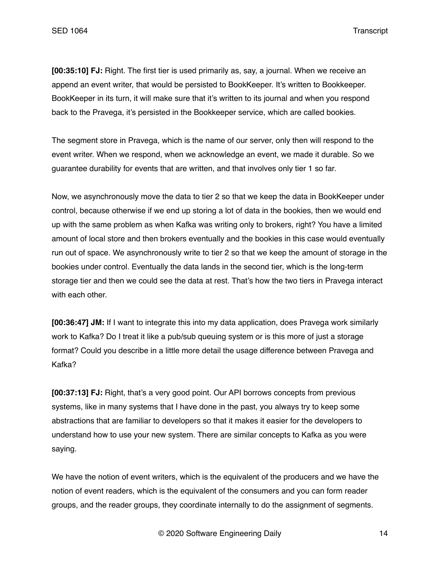**[00:35:10] FJ:** Right. The first tier is used primarily as, say, a journal. When we receive an append an event writer, that would be persisted to BookKeeper. It's written to Bookkeeper. BookKeeper in its turn, it will make sure that it's written to its journal and when you respond back to the Pravega, it's persisted in the Bookkeeper service, which are called bookies.

The segment store in Pravega, which is the name of our server, only then will respond to the event writer. When we respond, when we acknowledge an event, we made it durable. So we guarantee durability for events that are written, and that involves only tier 1 so far.

Now, we asynchronously move the data to tier 2 so that we keep the data in BookKeeper under control, because otherwise if we end up storing a lot of data in the bookies, then we would end up with the same problem as when Kafka was writing only to brokers, right? You have a limited amount of local store and then brokers eventually and the bookies in this case would eventually run out of space. We asynchronously write to tier 2 so that we keep the amount of storage in the bookies under control. Eventually the data lands in the second tier, which is the long-term storage tier and then we could see the data at rest. That's how the two tiers in Pravega interact with each other.

**[00:36:47] JM:** If I want to integrate this into my data application, does Pravega work similarly work to Kafka? Do I treat it like a pub/sub queuing system or is this more of just a storage format? Could you describe in a little more detail the usage difference between Pravega and Kafka?

**[00:37:13] FJ:** Right, that's a very good point. Our API borrows concepts from previous systems, like in many systems that I have done in the past, you always try to keep some abstractions that are familiar to developers so that it makes it easier for the developers to understand how to use your new system. There are similar concepts to Kafka as you were saying.

We have the notion of event writers, which is the equivalent of the producers and we have the notion of event readers, which is the equivalent of the consumers and you can form reader groups, and the reader groups, they coordinate internally to do the assignment of segments.

© 2020 Software Engineering Daily 14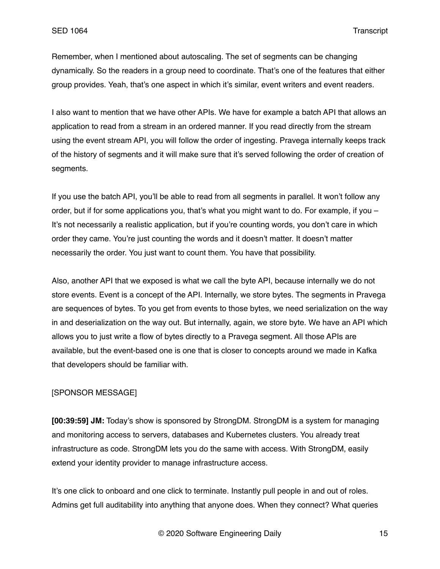Remember, when I mentioned about autoscaling. The set of segments can be changing dynamically. So the readers in a group need to coordinate. That's one of the features that either group provides. Yeah, that's one aspect in which it's similar, event writers and event readers.

I also want to mention that we have other APIs. We have for example a batch API that allows an application to read from a stream in an ordered manner. If you read directly from the stream using the event stream API, you will follow the order of ingesting. Pravega internally keeps track of the history of segments and it will make sure that it's served following the order of creation of segments.

If you use the batch API, you'll be able to read from all segments in parallel. It won't follow any order, but if for some applications you, that's what you might want to do. For example, if you – It's not necessarily a realistic application, but if you're counting words, you don't care in which order they came. You're just counting the words and it doesn't matter. It doesn't matter necessarily the order. You just want to count them. You have that possibility.

Also, another API that we exposed is what we call the byte API, because internally we do not store events. Event is a concept of the API. Internally, we store bytes. The segments in Pravega are sequences of bytes. To you get from events to those bytes, we need serialization on the way in and deserialization on the way out. But internally, again, we store byte. We have an API which allows you to just write a flow of bytes directly to a Pravega segment. All those APIs are available, but the event-based one is one that is closer to concepts around we made in Kafka that developers should be familiar with.

# [SPONSOR MESSAGE]

**[00:39:59] JM:** Today's show is sponsored by StrongDM. StrongDM is a system for managing and monitoring access to servers, databases and Kubernetes clusters. You already treat infrastructure as code. StrongDM lets you do the same with access. With StrongDM, easily extend your identity provider to manage infrastructure access.

It's one click to onboard and one click to terminate. Instantly pull people in and out of roles. Admins get full auditability into anything that anyone does. When they connect? What queries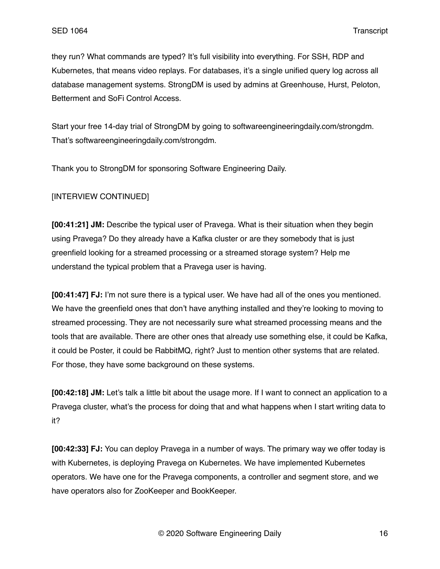they run? What commands are typed? It's full visibility into everything. For SSH, RDP and Kubernetes, that means video replays. For databases, it's a single unified query log across all database management systems. StrongDM is used by admins at Greenhouse, Hurst, Peloton, Betterment and SoFi Control Access.

Start your free 14-day trial of StrongDM by going to softwareengineeringdaily.com/strongdm. That's softwareengineeringdaily.com/strongdm.

Thank you to StrongDM for sponsoring Software Engineering Daily.

# [INTERVIEW CONTINUED]

**[00:41:21] JM:** Describe the typical user of Pravega. What is their situation when they begin using Pravega? Do they already have a Kafka cluster or are they somebody that is just greenfield looking for a streamed processing or a streamed storage system? Help me understand the typical problem that a Pravega user is having.

**[00:41:47] FJ:** I'm not sure there is a typical user. We have had all of the ones you mentioned. We have the greenfield ones that don't have anything installed and they're looking to moving to streamed processing. They are not necessarily sure what streamed processing means and the tools that are available. There are other ones that already use something else, it could be Kafka, it could be Poster, it could be RabbitMQ, right? Just to mention other systems that are related. For those, they have some background on these systems.

**[00:42:18] JM:** Let's talk a little bit about the usage more. If I want to connect an application to a Pravega cluster, what's the process for doing that and what happens when I start writing data to it?

**[00:42:33] FJ:** You can deploy Pravega in a number of ways. The primary way we offer today is with Kubernetes, is deploying Pravega on Kubernetes. We have implemented Kubernetes operators. We have one for the Pravega components, a controller and segment store, and we have operators also for ZooKeeper and BookKeeper.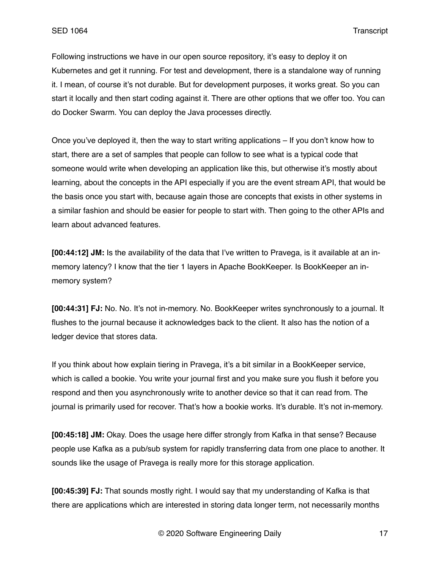Following instructions we have in our open source repository, it's easy to deploy it on Kubernetes and get it running. For test and development, there is a standalone way of running it. I mean, of course it's not durable. But for development purposes, it works great. So you can start it locally and then start coding against it. There are other options that we offer too. You can do Docker Swarm. You can deploy the Java processes directly.

Once you've deployed it, then the way to start writing applications – If you don't know how to start, there are a set of samples that people can follow to see what is a typical code that someone would write when developing an application like this, but otherwise it's mostly about learning, about the concepts in the API especially if you are the event stream API, that would be the basis once you start with, because again those are concepts that exists in other systems in a similar fashion and should be easier for people to start with. Then going to the other APIs and learn about advanced features.

**[00:44:12] JM:** Is the availability of the data that I've written to Pravega, is it available at an inmemory latency? I know that the tier 1 layers in Apache BookKeeper. Is BookKeeper an inmemory system?

**[00:44:31] FJ:** No. No. It's not in-memory. No. BookKeeper writes synchronously to a journal. It flushes to the journal because it acknowledges back to the client. It also has the notion of a ledger device that stores data.

If you think about how explain tiering in Pravega, it's a bit similar in a BookKeeper service, which is called a bookie. You write your journal first and you make sure you flush it before you respond and then you asynchronously write to another device so that it can read from. The journal is primarily used for recover. That's how a bookie works. It's durable. It's not in-memory.

**[00:45:18] JM:** Okay. Does the usage here differ strongly from Kafka in that sense? Because people use Kafka as a pub/sub system for rapidly transferring data from one place to another. It sounds like the usage of Pravega is really more for this storage application.

**[00:45:39] FJ:** That sounds mostly right. I would say that my understanding of Kafka is that there are applications which are interested in storing data longer term, not necessarily months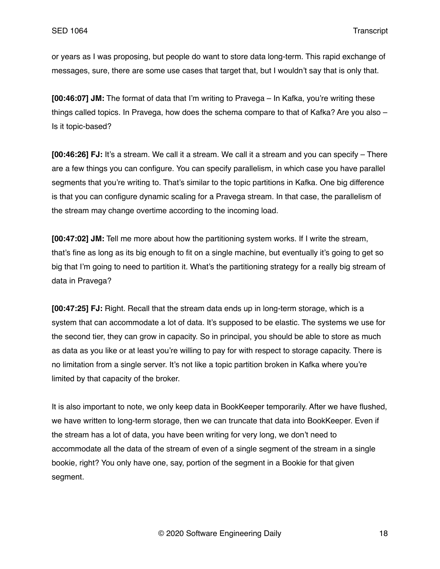or years as I was proposing, but people do want to store data long-term. This rapid exchange of messages, sure, there are some use cases that target that, but I wouldn't say that is only that.

**[00:46:07] JM:** The format of data that I'm writing to Pravega – In Kafka, you're writing these things called topics. In Pravega, how does the schema compare to that of Kafka? Are you also – Is it topic-based?

**[00:46:26] FJ:** It's a stream. We call it a stream. We call it a stream and you can specify – There are a few things you can configure. You can specify parallelism, in which case you have parallel segments that you're writing to. That's similar to the topic partitions in Kafka. One big difference is that you can configure dynamic scaling for a Pravega stream. In that case, the parallelism of the stream may change overtime according to the incoming load.

**[00:47:02] JM:** Tell me more about how the partitioning system works. If I write the stream, that's fine as long as its big enough to fit on a single machine, but eventually it's going to get so big that I'm going to need to partition it. What's the partitioning strategy for a really big stream of data in Pravega?

**[00:47:25] FJ:** Right. Recall that the stream data ends up in long-term storage, which is a system that can accommodate a lot of data. It's supposed to be elastic. The systems we use for the second tier, they can grow in capacity. So in principal, you should be able to store as much as data as you like or at least you're willing to pay for with respect to storage capacity. There is no limitation from a single server. It's not like a topic partition broken in Kafka where you're limited by that capacity of the broker.

It is also important to note, we only keep data in BookKeeper temporarily. After we have flushed, we have written to long-term storage, then we can truncate that data into BookKeeper. Even if the stream has a lot of data, you have been writing for very long, we don't need to accommodate all the data of the stream of even of a single segment of the stream in a single bookie, right? You only have one, say, portion of the segment in a Bookie for that given segment.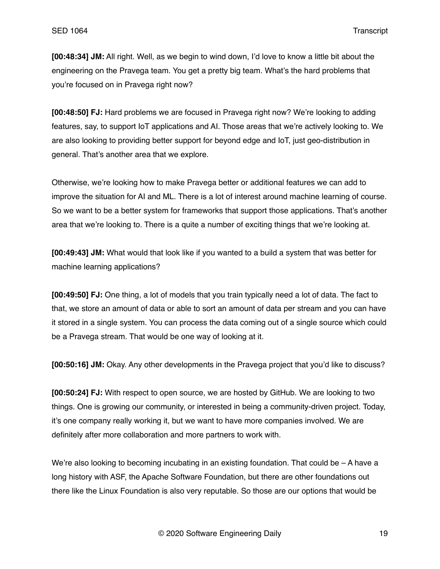**[00:48:34] JM:** All right. Well, as we begin to wind down, I'd love to know a little bit about the engineering on the Pravega team. You get a pretty big team. What's the hard problems that you're focused on in Pravega right now?

**[00:48:50] FJ:** Hard problems we are focused in Pravega right now? We're looking to adding features, say, to support IoT applications and AI. Those areas that we're actively looking to. We are also looking to providing better support for beyond edge and IoT, just geo-distribution in general. That's another area that we explore.

Otherwise, we're looking how to make Pravega better or additional features we can add to improve the situation for AI and ML. There is a lot of interest around machine learning of course. So we want to be a better system for frameworks that support those applications. That's another area that we're looking to. There is a quite a number of exciting things that we're looking at.

**[00:49:43] JM:** What would that look like if you wanted to a build a system that was better for machine learning applications?

**[00:49:50] FJ:** One thing, a lot of models that you train typically need a lot of data. The fact to that, we store an amount of data or able to sort an amount of data per stream and you can have it stored in a single system. You can process the data coming out of a single source which could be a Pravega stream. That would be one way of looking at it.

**[00:50:16] JM:** Okay. Any other developments in the Pravega project that you'd like to discuss?

**[00:50:24] FJ:** With respect to open source, we are hosted by GitHub. We are looking to two things. One is growing our community, or interested in being a community-driven project. Today, it's one company really working it, but we want to have more companies involved. We are definitely after more collaboration and more partners to work with.

We're also looking to becoming incubating in an existing foundation. That could be  $-A$  have a long history with ASF, the Apache Software Foundation, but there are other foundations out there like the Linux Foundation is also very reputable. So those are our options that would be